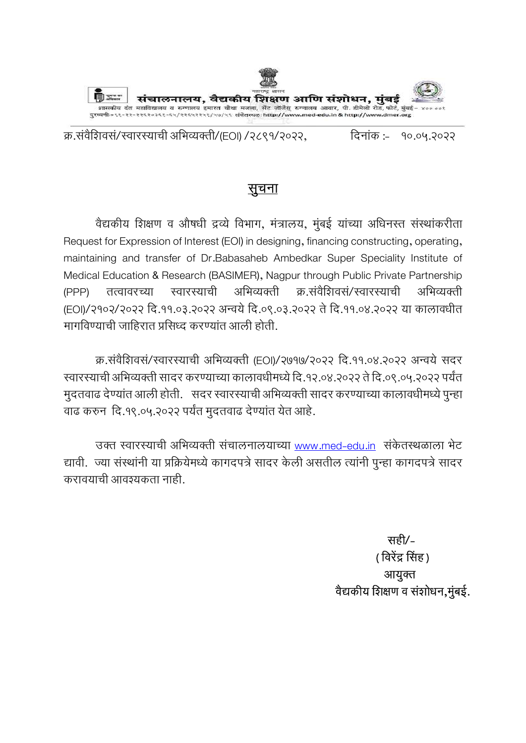

क्र.संवैशिवसं/स्वारस्याची अभिव्यक्ती/(EOI) /२८९१/२०२२, दिनांकं :- १०.०५.२०२२

# सुचना

वैद्यकीय शिक्षण व औषधी द्रव्ये विभाग, मंत्रालय, मुंबई यांच्या अधिनस्त संस्थांकरीता Request for Expression of Interest (EOI) in designing, financing constructing, operating, maintaining and transfer of Dr.Babasaheb Ambedkar Super Speciality Institute of Medical Education & Research (BASIMER), Nagpur through Public Private Partnership (PPP) तत्वावरच्या स्वारस्याची अभिव्यक्ती क्र.संवैशिवसं/स्वारस्याची अभिव्यक्ती (EOI)/२१०२/२०२२ दि.११.०३.२०२२ अन्वये दि.०९.०३.२०२२ ते दि.११.०४.२०२२ या कालावधीत मागविण्याची जाहिरात प्रसिध्द करण्यांत आली होती.

क्र.संवैशिवसं/स्वारस्याची अभिव्यक्ती (EOI)/२७१७/२०२२ दि.११.०४.२०२२ अन्वये सदर खारस्याची अभिव्यक्ती सादर करण्याच्या कालावधीमध्ये दि.१२.०४.२०२२ ते दि.०९.०५.२०२२ पर्यंत मुदतवाढ देण्यांत आली होती. सदर स्वारस्याची अभिव्यक्ती सादर करण्याच्या कालावधीमध्ये पुन्हा वाढ करुन दि.१९.०५.२०२२ पर्यंत मुदतवाढ देण्यांत येत आहे.

उक्त स्वारस्याची अभिव्यक्ती संचालनालयाच्या www.med-edu.in संकेतस्थळाला भेट द्यावी. ज्या संस्थांनी या प्रक्रियेमध्ये कागदपत्रे सादर केली असतील त्यांनी पुन्हा कागदपत्रे सादर करावयाची आवश्यकता नाही.

> सही/- ( विरेंद्र सिंह ) आयुक्त वैद्यकीय शिक्षण व संशोधन,मुंबई.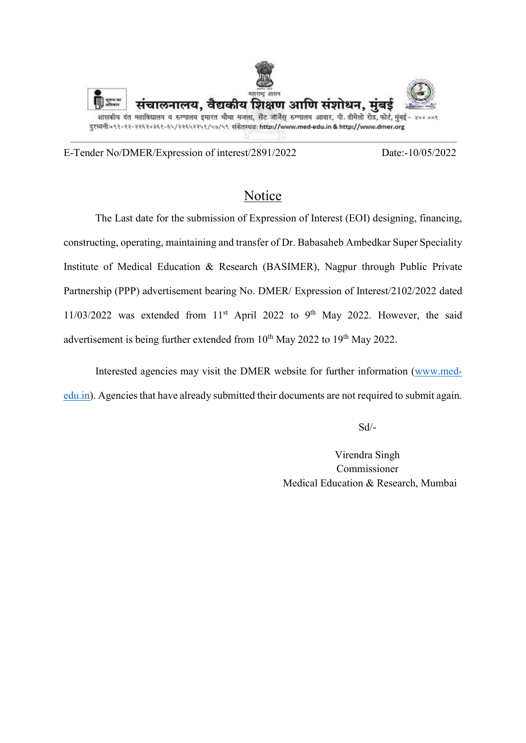

E-Tender No/DMER/Expression of interest/2891/2022 Date:-10/05/2022

## Notice

 The Last date for the submission of Expression of Interest (EOI) designing, financing, constructing, operating, maintaining and transfer of Dr. Babasaheb Ambedkar Super Speciality Institute of Medical Education & Research (BASIMER), Nagpur through Public Private Partnership (PPP) advertisement bearing No. DMER/ Expression of Interest/2102/2022 dated  $11/03/2022$  was extended from  $11<sup>st</sup>$  April 2022 to 9<sup>th</sup> May 2022. However, the said advertisement is being further extended from  $10^{th}$  May 2022 to  $19^{th}$  May 2022.

 Interested agencies may visit the DMER website for further information (www.mededu.in). Agencies that have already submitted their documents are not required to submit again.

Sd/-

 Virendra Singh Commissioner Medical Education & Research, Mumbai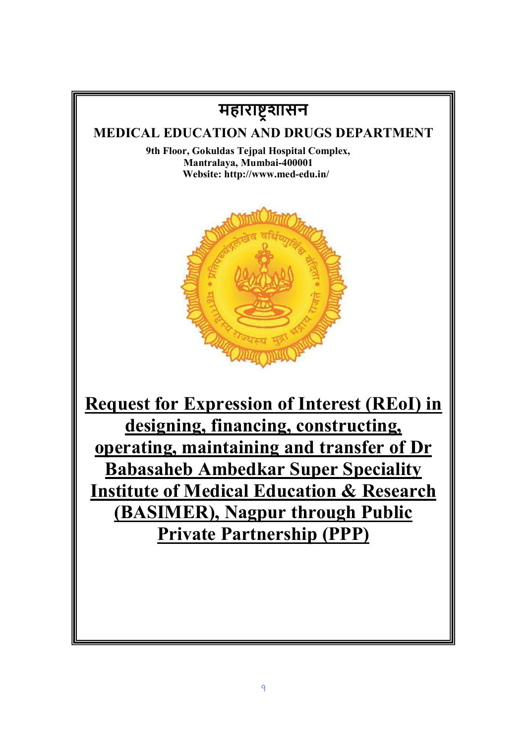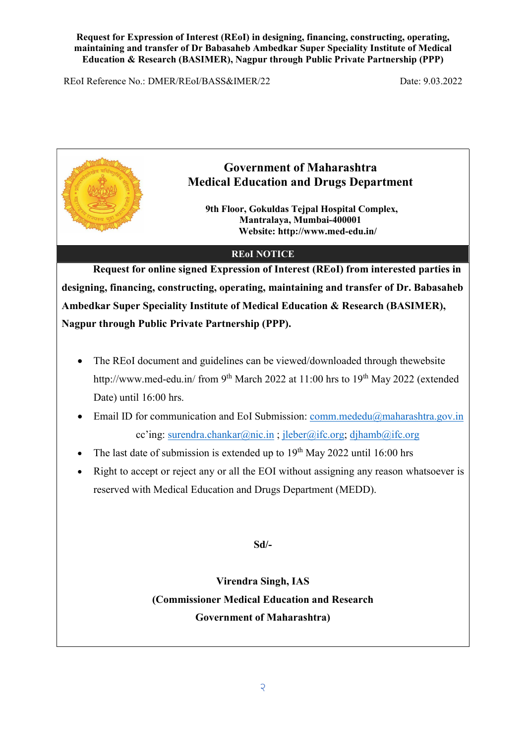REoI Reference No.: DMER/REoI/BASS&IMER/22 Date: 9.03.2022



# Government of Maharashtra Medical Education and Drugs Department

9th Floor, Gokuldas Teipal Hospital Complex, Mantralaya, Mumbai-400001 Website: http://www.med-edu.in/

## REoI NOTICE

Request for online signed Expression of Interest (REoI) from interested parties in designing, financing, constructing, operating, maintaining and transfer of Dr. Babasaheb Ambedkar Super Speciality Institute of Medical Education & Research (BASIMER), Nagpur through Public Private Partnership (PPP).

- The REoI document and guidelines can be viewed/downloaded through thewebsite http://www.med-edu.in/ from 9<sup>th</sup> March 2022 at 11:00 hrs to 19<sup>th</sup> May 2022 (extended Date) until 16:00 hrs.
- Email ID for communication and EoI Submission: comm.mededu@maharashtra.gov.in cc'ing: surendra.chankar@nic.in ; jleber@ifc.org; djhamb@ifc.org
- The last date of submission is extended up to  $19<sup>th</sup>$  May 2022 until 16:00 hrs
- Right to accept or reject any or all the EOI without assigning any reason whatsoever is reserved with Medical Education and Drugs Department (MEDD).

Sd/-

Virendra Singh, IAS (Commissioner Medical Education and Research Government of Maharashtra)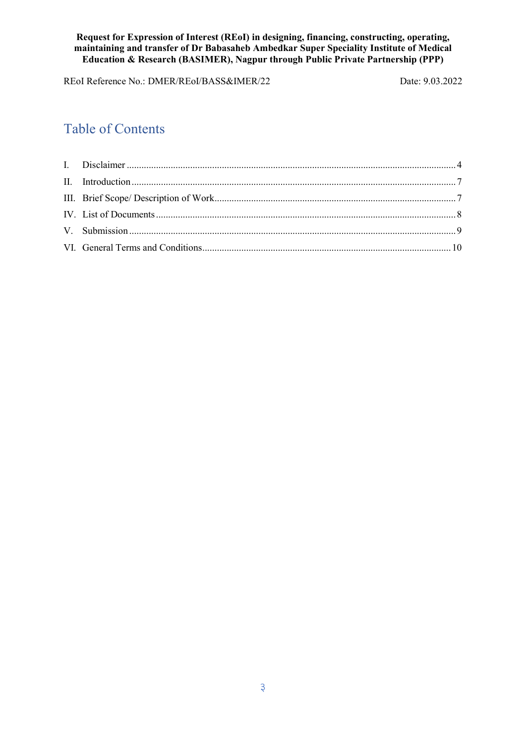REoI Reference No.: DMER/REoI/BASS&IMER/22 Date: 9.03.2022

# Table of Contents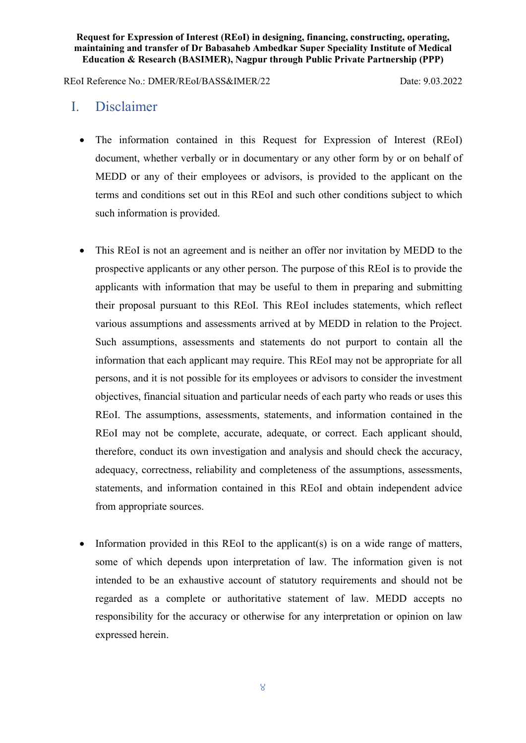REoI Reference No.: DMER/REoI/BASS&IMER/22 Date: 9.03.2022

## I. Disclaimer

- The information contained in this Request for Expression of Interest (REoI) document, whether verbally or in documentary or any other form by or on behalf of MEDD or any of their employees or advisors, is provided to the applicant on the terms and conditions set out in this REoI and such other conditions subject to which such information is provided.
- This REoI is not an agreement and is neither an offer nor invitation by MEDD to the prospective applicants or any other person. The purpose of this REoI is to provide the applicants with information that may be useful to them in preparing and submitting their proposal pursuant to this REoI. This REoI includes statements, which reflect various assumptions and assessments arrived at by MEDD in relation to the Project. Such assumptions, assessments and statements do not purport to contain all the information that each applicant may require. This REoI may not be appropriate for all persons, and it is not possible for its employees or advisors to consider the investment objectives, financial situation and particular needs of each party who reads or uses this REoI. The assumptions, assessments, statements, and information contained in the REoI may not be complete, accurate, adequate, or correct. Each applicant should, therefore, conduct its own investigation and analysis and should check the accuracy, adequacy, correctness, reliability and completeness of the assumptions, assessments, statements, and information contained in this REoI and obtain independent advice from appropriate sources.
- $\bullet$  Information provided in this REoI to the applicant(s) is on a wide range of matters, some of which depends upon interpretation of law. The information given is not intended to be an exhaustive account of statutory requirements and should not be regarded as a complete or authoritative statement of law. MEDD accepts no responsibility for the accuracy or otherwise for any interpretation or opinion on law expressed herein.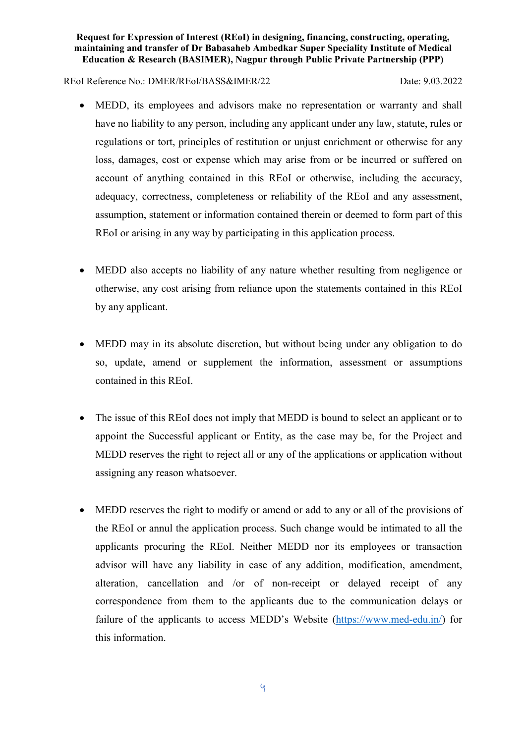## REoI Reference No.: DMER/REoI/BASS&IMER/22 Date: 9.03.2022

- MEDD, its employees and advisors make no representation or warranty and shall have no liability to any person, including any applicant under any law, statute, rules or regulations or tort, principles of restitution or unjust enrichment or otherwise for any loss, damages, cost or expense which may arise from or be incurred or suffered on account of anything contained in this REoI or otherwise, including the accuracy, adequacy, correctness, completeness or reliability of the REoI and any assessment, assumption, statement or information contained therein or deemed to form part of this REoI or arising in any way by participating in this application process.
- MEDD also accepts no liability of any nature whether resulting from negligence or otherwise, any cost arising from reliance upon the statements contained in this REoI by any applicant.
- MEDD may in its absolute discretion, but without being under any obligation to do so, update, amend or supplement the information, assessment or assumptions contained in this REoI.
- The issue of this REOI does not imply that MEDD is bound to select an applicant or to appoint the Successful applicant or Entity, as the case may be, for the Project and MEDD reserves the right to reject all or any of the applications or application without assigning any reason whatsoever.
- MEDD reserves the right to modify or amend or add to any or all of the provisions of the REoI or annul the application process. Such change would be intimated to all the applicants procuring the REoI. Neither MEDD nor its employees or transaction advisor will have any liability in case of any addition, modification, amendment, alteration, cancellation and /or of non-receipt or delayed receipt of any correspondence from them to the applicants due to the communication delays or failure of the applicants to access MEDD's Website (https://www.med-edu.in/) for this information.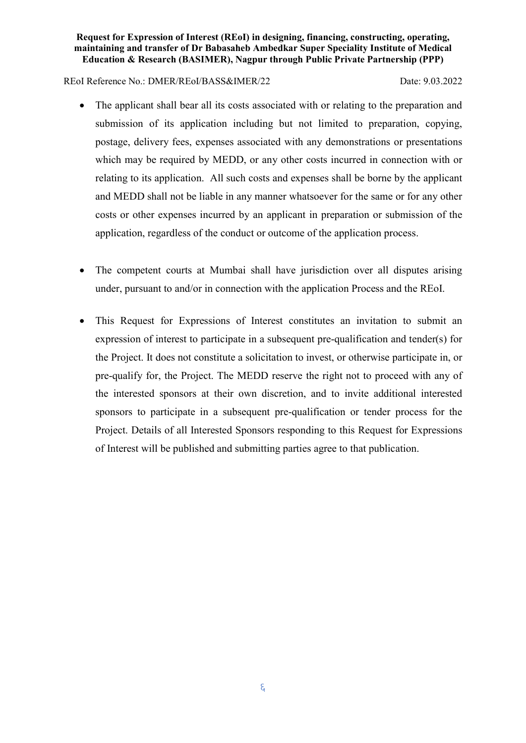## REoI Reference No.: DMER/REoI/BASS&IMER/22 Date: 9.03.2022

- The applicant shall bear all its costs associated with or relating to the preparation and submission of its application including but not limited to preparation, copying, postage, delivery fees, expenses associated with any demonstrations or presentations which may be required by MEDD, or any other costs incurred in connection with or relating to its application. All such costs and expenses shall be borne by the applicant and MEDD shall not be liable in any manner whatsoever for the same or for any other costs or other expenses incurred by an applicant in preparation or submission of the application, regardless of the conduct or outcome of the application process.
- The competent courts at Mumbai shall have jurisdiction over all disputes arising under, pursuant to and/or in connection with the application Process and the REoI.
- This Request for Expressions of Interest constitutes an invitation to submit an expression of interest to participate in a subsequent pre-qualification and tender(s) for the Project. It does not constitute a solicitation to invest, or otherwise participate in, or pre-qualify for, the Project. The MEDD reserve the right not to proceed with any of the interested sponsors at their own discretion, and to invite additional interested sponsors to participate in a subsequent pre-qualification or tender process for the Project. Details of all Interested Sponsors responding to this Request for Expressions of Interest will be published and submitting parties agree to that publication.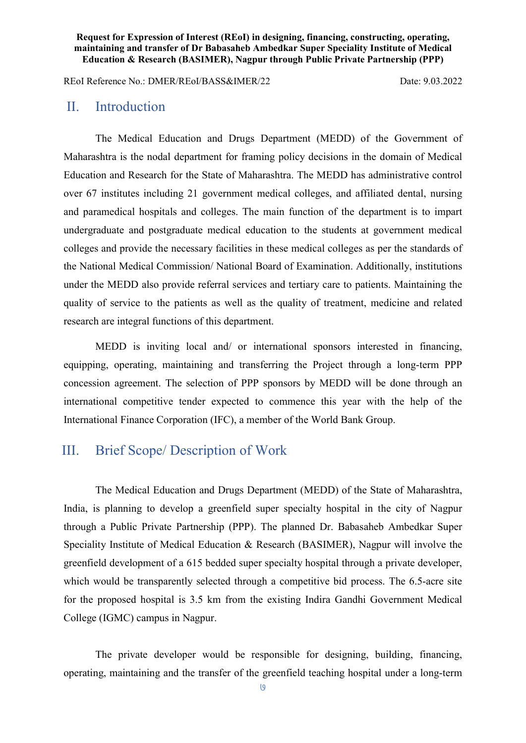REoI Reference No.: DMER/REoI/BASS&IMER/22 Date: 9.03.2022

## II. Introduction

 The Medical Education and Drugs Department (MEDD) of the Government of Maharashtra is the nodal department for framing policy decisions in the domain of Medical Education and Research for the State of Maharashtra. The MEDD has administrative control over 67 institutes including 21 government medical colleges, and affiliated dental, nursing and paramedical hospitals and colleges. The main function of the department is to impart undergraduate and postgraduate medical education to the students at government medical colleges and provide the necessary facilities in these medical colleges as per the standards of the National Medical Commission/ National Board of Examination. Additionally, institutions under the MEDD also provide referral services and tertiary care to patients. Maintaining the quality of service to the patients as well as the quality of treatment, medicine and related research are integral functions of this department.

 MEDD is inviting local and/ or international sponsors interested in financing, equipping, operating, maintaining and transferring the Project through a long-term PPP concession agreement. The selection of PPP sponsors by MEDD will be done through an international competitive tender expected to commence this year with the help of the International Finance Corporation (IFC), a member of the World Bank Group.

# III. Brief Scope/ Description of Work

 The Medical Education and Drugs Department (MEDD) of the State of Maharashtra, India, is planning to develop a greenfield super specialty hospital in the city of Nagpur through a Public Private Partnership (PPP). The planned Dr. Babasaheb Ambedkar Super Speciality Institute of Medical Education & Research (BASIMER), Nagpur will involve the greenfield development of a 615 bedded super specialty hospital through a private developer, which would be transparently selected through a competitive bid process. The 6.5-acre site for the proposed hospital is 3.5 km from the existing Indira Gandhi Government Medical College (IGMC) campus in Nagpur.

 The private developer would be responsible for designing, building, financing, operating, maintaining and the transfer of the greenfield teaching hospital under a long-term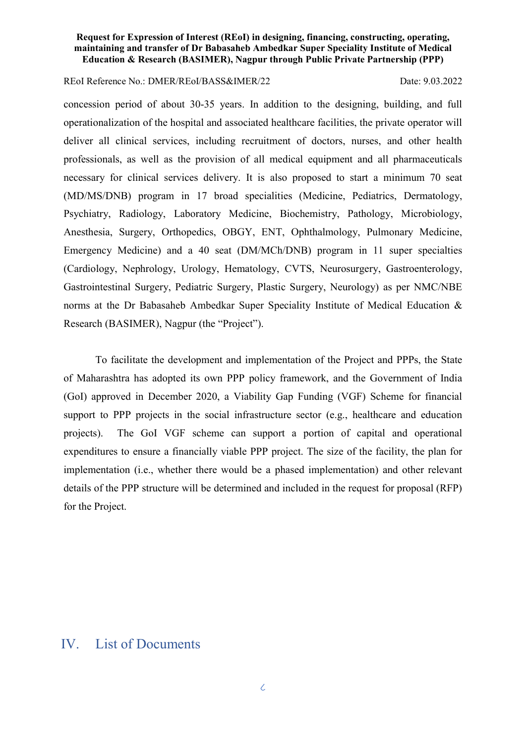### REoI Reference No.: DMER/REoI/BASS&IMER/22 Date: 9.03.2022

concession period of about 30-35 years. In addition to the designing, building, and full operationalization of the hospital and associated healthcare facilities, the private operator will deliver all clinical services, including recruitment of doctors, nurses, and other health professionals, as well as the provision of all medical equipment and all pharmaceuticals necessary for clinical services delivery. It is also proposed to start a minimum 70 seat (MD/MS/DNB) program in 17 broad specialities (Medicine, Pediatrics, Dermatology, Psychiatry, Radiology, Laboratory Medicine, Biochemistry, Pathology, Microbiology, Anesthesia, Surgery, Orthopedics, OBGY, ENT, Ophthalmology, Pulmonary Medicine, Emergency Medicine) and a 40 seat (DM/MCh/DNB) program in 11 super specialties (Cardiology, Nephrology, Urology, Hematology, CVTS, Neurosurgery, Gastroenterology, Gastrointestinal Surgery, Pediatric Surgery, Plastic Surgery, Neurology) as per NMC/NBE norms at the Dr Babasaheb Ambedkar Super Speciality Institute of Medical Education & Research (BASIMER), Nagpur (the "Project").

 To facilitate the development and implementation of the Project and PPPs, the State of Maharashtra has adopted its own PPP policy framework, and the Government of India (GoI) approved in December 2020, a Viability Gap Funding (VGF) Scheme for financial support to PPP projects in the social infrastructure sector (e.g., healthcare and education projects). The GoI VGF scheme can support a portion of capital and operational expenditures to ensure a financially viable PPP project. The size of the facility, the plan for implementation (i.e., whether there would be a phased implementation) and other relevant details of the PPP structure will be determined and included in the request for proposal (RFP) for the Project.

## IV. List of Documents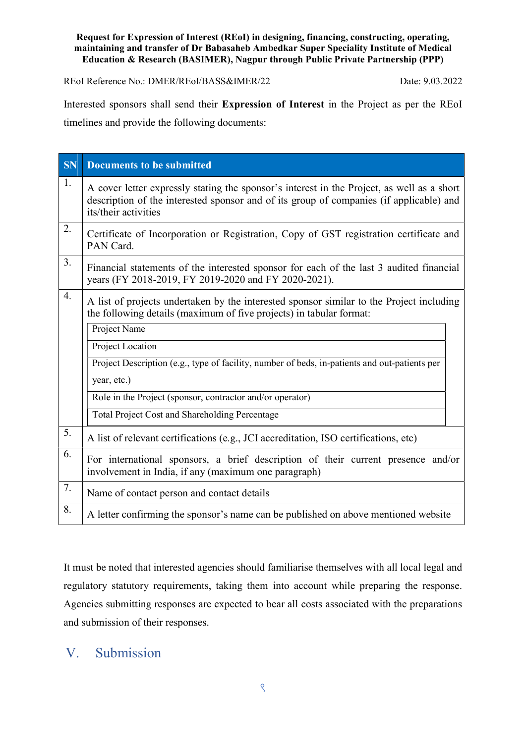REoI Reference No.: DMER/REoI/BASS&IMER/22 Date: 9.03.2022

Interested sponsors shall send their Expression of Interest in the Project as per the REoI timelines and provide the following documents:

| <b>SN</b>        | <b>Documents to be submitted</b>                                                                                                                                                                                                                                                                                                                                                 |
|------------------|----------------------------------------------------------------------------------------------------------------------------------------------------------------------------------------------------------------------------------------------------------------------------------------------------------------------------------------------------------------------------------|
| 1.               | A cover letter expressly stating the sponsor's interest in the Project, as well as a short<br>description of the interested sponsor and of its group of companies (if applicable) and<br>its/their activities                                                                                                                                                                    |
| 2.               | Certificate of Incorporation or Registration, Copy of GST registration certificate and<br>PAN Card.                                                                                                                                                                                                                                                                              |
| 3.               | Financial statements of the interested sponsor for each of the last 3 audited financial<br>years (FY 2018-2019, FY 2019-2020 and FY 2020-2021).                                                                                                                                                                                                                                  |
| $\overline{4}$ . | A list of projects undertaken by the interested sponsor similar to the Project including<br>the following details (maximum of five projects) in tabular format:<br>Project Name<br>Project Location<br>Project Description (e.g., type of facility, number of beds, in-patients and out-patients per<br>year, etc.)<br>Role in the Project (sponsor, contractor and/or operator) |
|                  | Total Project Cost and Shareholding Percentage                                                                                                                                                                                                                                                                                                                                   |
| 5.               | A list of relevant certifications (e.g., JCI accreditation, ISO certifications, etc)                                                                                                                                                                                                                                                                                             |
| 6.               | For international sponsors, a brief description of their current presence and/or<br>involvement in India, if any (maximum one paragraph)                                                                                                                                                                                                                                         |
| 7.               | Name of contact person and contact details                                                                                                                                                                                                                                                                                                                                       |
| 8.               | A letter confirming the sponsor's name can be published on above mentioned website                                                                                                                                                                                                                                                                                               |

It must be noted that interested agencies should familiarise themselves with all local legal and regulatory statutory requirements, taking them into account while preparing the response. Agencies submitting responses are expected to bear all costs associated with the preparations and submission of their responses.

# V. Submission